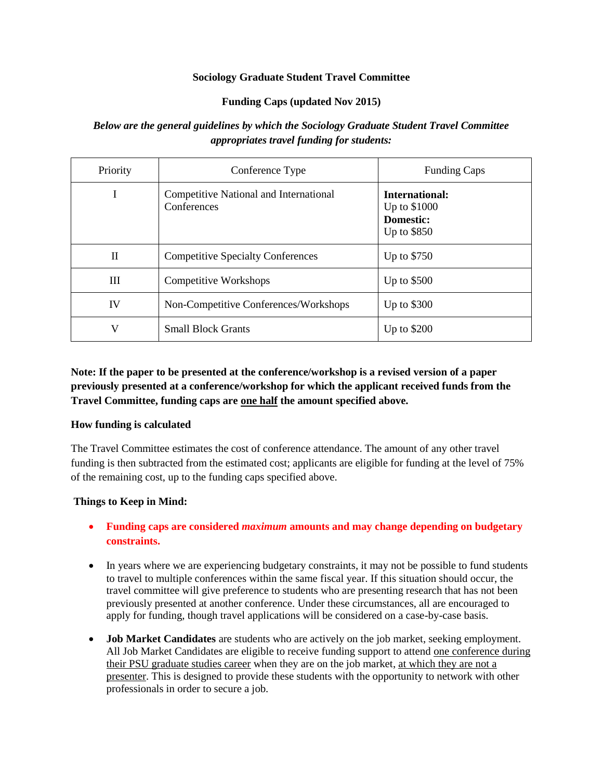### **Sociology Graduate Student Travel Committee**

### **Funding Caps (updated Nov 2015)**

## *Below are the general guidelines by which the Sociology Graduate Student Travel Committee appropriates travel funding for students:*

| Priority     | Conference Type                                       | <b>Funding Caps</b>                                               |
|--------------|-------------------------------------------------------|-------------------------------------------------------------------|
| I            | Competitive National and International<br>Conferences | International:<br>Up to \$1000<br><b>Domestic:</b><br>Up to \$850 |
| $\mathbf{I}$ | <b>Competitive Specialty Conferences</b>              | Up to \$750                                                       |
| Ш            | <b>Competitive Workshops</b>                          | Up to $$500$                                                      |
| IV           | Non-Competitive Conferences/Workshops                 | Up to \$300                                                       |
| V            | <b>Small Block Grants</b>                             | Up to $$200$                                                      |

# **Note: If the paper to be presented at the conference/workshop is a revised version of a paper previously presented at a conference/workshop for which the applicant received funds from the Travel Committee, funding caps are one half the amount specified above.**

## **How funding is calculated**

The Travel Committee estimates the cost of conference attendance. The amount of any other travel funding is then subtracted from the estimated cost; applicants are eligible for funding at the level of 75% of the remaining cost, up to the funding caps specified above.

## **Things to Keep in Mind:**

- **Funding caps are considered** *maximum* **amounts and may change depending on budgetary constraints.**
- In years where we are experiencing budgetary constraints, it may not be possible to fund students to travel to multiple conferences within the same fiscal year. If this situation should occur, the travel committee will give preference to students who are presenting research that has not been previously presented at another conference. Under these circumstances, all are encouraged to apply for funding, though travel applications will be considered on a case-by-case basis.
- **Job Market Candidates** are students who are actively on the job market, seeking employment. All Job Market Candidates are eligible to receive funding support to attend one conference during their PSU graduate studies career when they are on the job market, at which they are not a presenter. This is designed to provide these students with the opportunity to network with other professionals in order to secure a job.